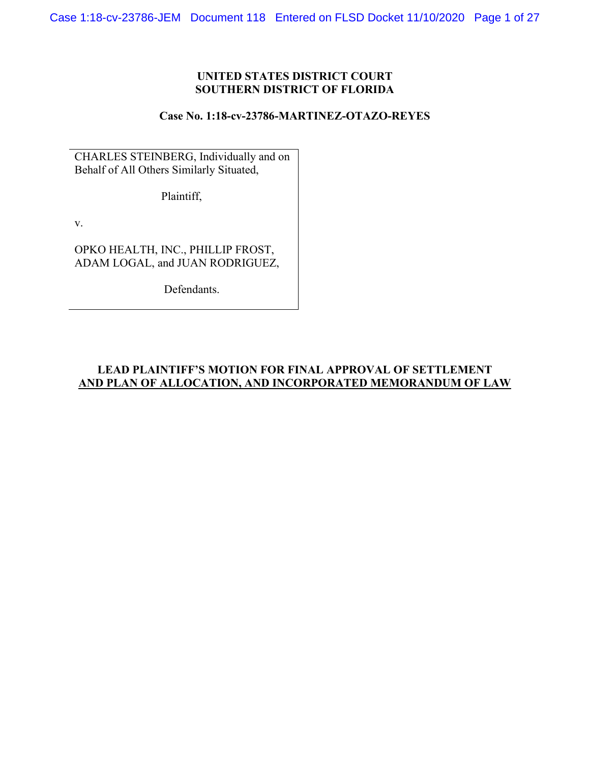# **UNITED STATES DISTRICT COURT SOUTHERN DISTRICT OF FLORIDA**

### **Case No. 1:18-cv-23786-MARTINEZ-OTAZO-REYES**

CHARLES STEINBERG, Individually and on Behalf of All Others Similarly Situated,

Plaintiff,

v.

OPKO HEALTH, INC., PHILLIP FROST, ADAM LOGAL, and JUAN RODRIGUEZ,

Defendants.

# **LEAD PLAINTIFF'S MOTION FOR FINAL APPROVAL OF SETTLEMENT AND PLAN OF ALLOCATION, AND INCORPORATED MEMORANDUM OF LAW**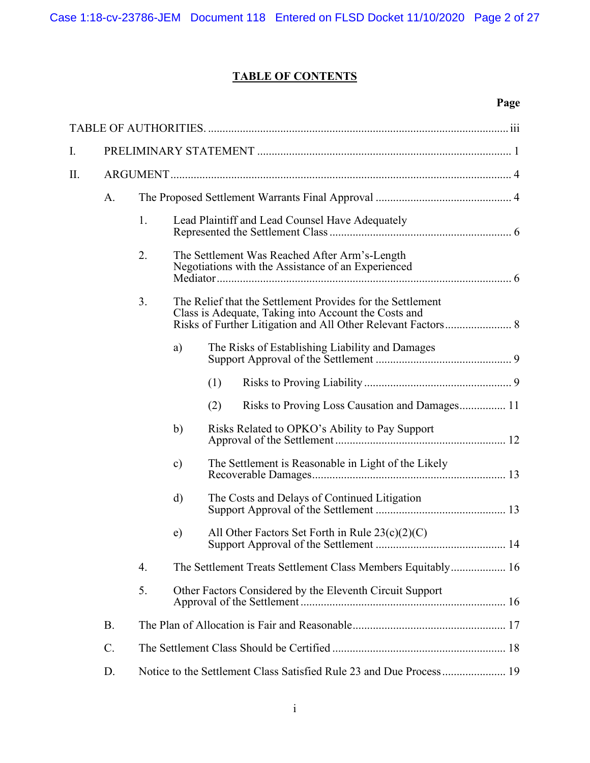# **TABLE OF CONTENTS**

# **Page**

| I. |                 |                                                                     |                                                                                                                                                                                                                           |                                                 |                                                     |  |  |  |
|----|-----------------|---------------------------------------------------------------------|---------------------------------------------------------------------------------------------------------------------------------------------------------------------------------------------------------------------------|-------------------------------------------------|-----------------------------------------------------|--|--|--|
| П. |                 |                                                                     |                                                                                                                                                                                                                           |                                                 |                                                     |  |  |  |
|    | A.              |                                                                     |                                                                                                                                                                                                                           |                                                 |                                                     |  |  |  |
|    |                 | 1.                                                                  |                                                                                                                                                                                                                           | Lead Plaintiff and Lead Counsel Have Adequately |                                                     |  |  |  |
|    |                 | 2.                                                                  | The Settlement Was Reached After Arm's-Length<br>Negotiations with the Assistance of an Experienced<br>The Relief that the Settlement Provides for the Settlement<br>Class is Adequate, Taking into Account the Costs and |                                                 |                                                     |  |  |  |
|    |                 | 3.                                                                  |                                                                                                                                                                                                                           |                                                 |                                                     |  |  |  |
|    |                 |                                                                     | a)                                                                                                                                                                                                                        |                                                 | The Risks of Establishing Liability and Damages     |  |  |  |
|    |                 |                                                                     |                                                                                                                                                                                                                           | (1)                                             |                                                     |  |  |  |
|    |                 |                                                                     |                                                                                                                                                                                                                           | (2)                                             | Risks to Proving Loss Causation and Damages 11      |  |  |  |
|    |                 |                                                                     | b)                                                                                                                                                                                                                        |                                                 | Risks Related to OPKO's Ability to Pay Support      |  |  |  |
|    |                 |                                                                     | $\mathbf{c})$                                                                                                                                                                                                             |                                                 | The Settlement is Reasonable in Light of the Likely |  |  |  |
|    |                 |                                                                     | d)                                                                                                                                                                                                                        | The Costs and Delays of Continued Litigation    |                                                     |  |  |  |
|    |                 |                                                                     | $\epsilon$ )                                                                                                                                                                                                              |                                                 | All Other Factors Set Forth in Rule $23(c)(2)(C)$   |  |  |  |
|    |                 | 4.                                                                  | The Settlement Treats Settlement Class Members Equitably 16                                                                                                                                                               |                                                 |                                                     |  |  |  |
|    |                 | 5.                                                                  | Other Factors Considered by the Eleventh Circuit Support                                                                                                                                                                  |                                                 |                                                     |  |  |  |
|    | <b>B.</b>       |                                                                     |                                                                                                                                                                                                                           |                                                 |                                                     |  |  |  |
|    | $\mathcal{C}$ . |                                                                     |                                                                                                                                                                                                                           |                                                 |                                                     |  |  |  |
|    | D.              | Notice to the Settlement Class Satisfied Rule 23 and Due Process 19 |                                                                                                                                                                                                                           |                                                 |                                                     |  |  |  |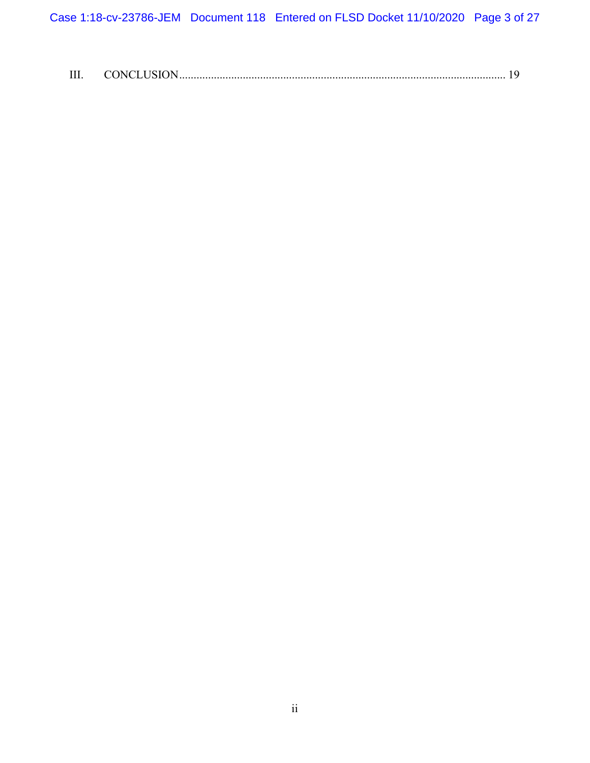Case 1:18-cv-23786-JEM Document 118 Entered on FLSD Docket 11/10/2020 Page 3 of 27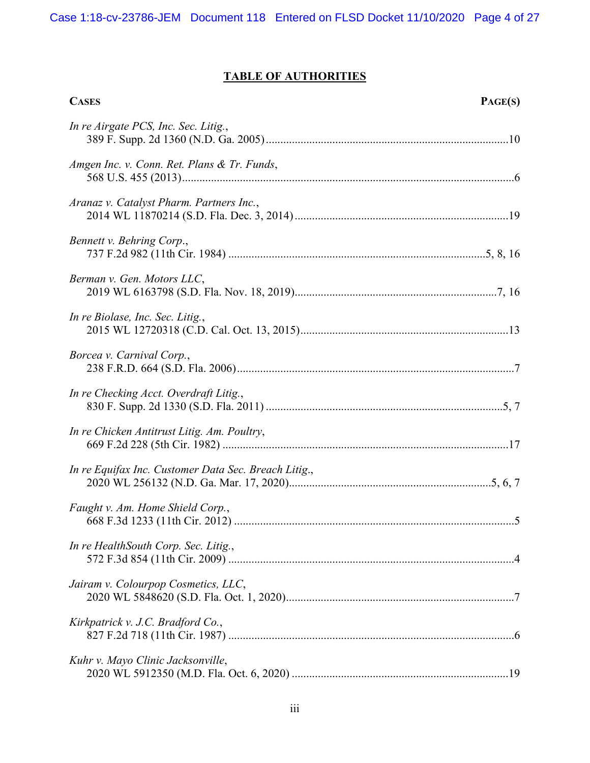# **TABLE OF AUTHORITIES**

| <b>CASES</b>                                         | PAGE(S) |
|------------------------------------------------------|---------|
| In re Airgate PCS, Inc. Sec. Litig.,                 |         |
| Amgen Inc. v. Conn. Ret. Plans & Tr. Funds,          |         |
| Aranaz v. Catalyst Pharm. Partners Inc.,             |         |
| Bennett v. Behring Corp.,                            |         |
| Berman v. Gen. Motors LLC,                           |         |
| In re Biolase, Inc. Sec. Litig.,                     |         |
| Borcea v. Carnival Corp.,                            |         |
| In re Checking Acct. Overdraft Litig.,               |         |
| In re Chicken Antitrust Litig. Am. Poultry,          |         |
| In re Equifax Inc. Customer Data Sec. Breach Litig., |         |
| Faught v. Am. Home Shield Corp.,                     |         |
| In re HealthSouth Corp. Sec. Litig.,                 |         |
| Jairam v. Colourpop Cosmetics, LLC,                  |         |
| Kirkpatrick v. J.C. Bradford Co.,                    |         |
| Kuhr v. Mayo Clinic Jacksonville,                    |         |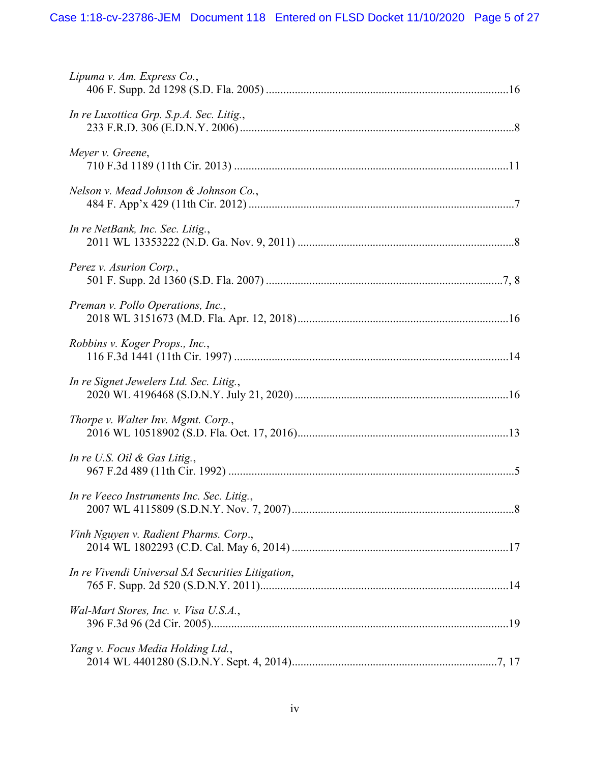| Lipuma v. Am. Express Co.,                        |
|---------------------------------------------------|
| In re Luxottica Grp. S.p.A. Sec. Litig.,          |
| Meyer v. Greene,                                  |
| Nelson v. Mead Johnson & Johnson Co.,             |
| In re NetBank, Inc. Sec. Litig.,                  |
| Perez v. Asurion Corp.,                           |
| Preman v. Pollo Operations, Inc.,                 |
| Robbins v. Koger Props., Inc.,                    |
| In re Signet Jewelers Ltd. Sec. Litig.,           |
| Thorpe v. Walter Inv. Mgmt. Corp.,                |
| In re U.S. Oil $\&$ Gas Litig.,                   |
| In re Veeco Instruments Inc. Sec. Litig.,         |
| Vinh Nguyen v. Radient Pharms. Corp.,             |
| In re Vivendi Universal SA Securities Litigation, |
| Wal-Mart Stores, Inc. v. Visa U.S.A.,             |
| Yang v. Focus Media Holding Ltd.,                 |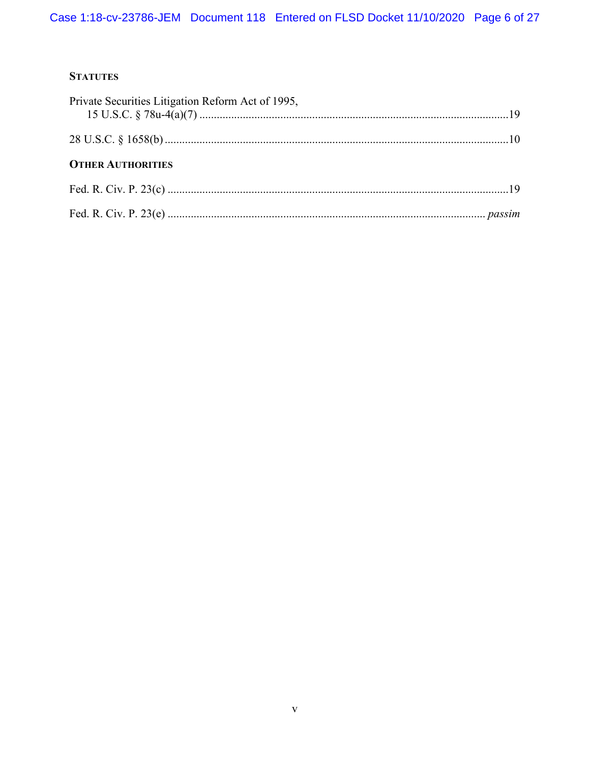# **STATUTES**

| Private Securities Litigation Reform Act of 1995, |  |
|---------------------------------------------------|--|
|                                                   |  |
| <b>OTHER AUTHORITIES</b>                          |  |
|                                                   |  |
|                                                   |  |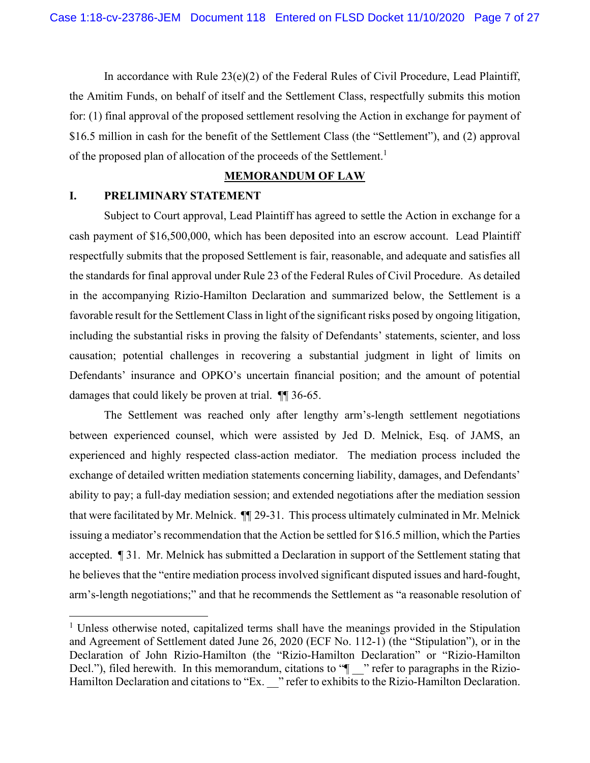In accordance with Rule  $23(e)(2)$  of the Federal Rules of Civil Procedure, Lead Plaintiff, the Amitim Funds, on behalf of itself and the Settlement Class, respectfully submits this motion for: (1) final approval of the proposed settlement resolving the Action in exchange for payment of \$16.5 million in cash for the benefit of the Settlement Class (the "Settlement"), and (2) approval of the proposed plan of allocation of the proceeds of the Settlement.<sup>1</sup>

#### **MEMORANDUM OF LAW**

### **I. PRELIMINARY STATEMENT**

Subject to Court approval, Lead Plaintiff has agreed to settle the Action in exchange for a cash payment of \$16,500,000, which has been deposited into an escrow account. Lead Plaintiff respectfully submits that the proposed Settlement is fair, reasonable, and adequate and satisfies all the standards for final approval under Rule 23 of the Federal Rules of Civil Procedure. As detailed in the accompanying Rizio-Hamilton Declaration and summarized below, the Settlement is a favorable result for the Settlement Class in light of the significant risks posed by ongoing litigation, including the substantial risks in proving the falsity of Defendants' statements, scienter, and loss causation; potential challenges in recovering a substantial judgment in light of limits on Defendants' insurance and OPKO's uncertain financial position; and the amount of potential damages that could likely be proven at trial. ¶¶ 36-65.

The Settlement was reached only after lengthy arm's-length settlement negotiations between experienced counsel, which were assisted by Jed D. Melnick, Esq. of JAMS, an experienced and highly respected class-action mediator. The mediation process included the exchange of detailed written mediation statements concerning liability, damages, and Defendants' ability to pay; a full-day mediation session; and extended negotiations after the mediation session that were facilitated by Mr. Melnick. ¶¶ 29-31. This process ultimately culminated in Mr. Melnick issuing a mediator's recommendation that the Action be settled for \$16.5 million, which the Parties accepted. ¶ 31. Mr. Melnick has submitted a Declaration in support of the Settlement stating that he believes that the "entire mediation process involved significant disputed issues and hard-fought, arm's-length negotiations;" and that he recommends the Settlement as "a reasonable resolution of

<sup>&</sup>lt;sup>1</sup> Unless otherwise noted, capitalized terms shall have the meanings provided in the Stipulation and Agreement of Settlement dated June 26, 2020 (ECF No. 112-1) (the "Stipulation"), or in the Declaration of John Rizio-Hamilton (the "Rizio-Hamilton Declaration" or "Rizio-Hamilton Decl."), filed herewith. In this memorandum, citations to " $\blacksquare$ " refer to paragraphs in the Rizio-Hamilton Declaration and citations to "Ex. " refer to exhibits to the Rizio-Hamilton Declaration.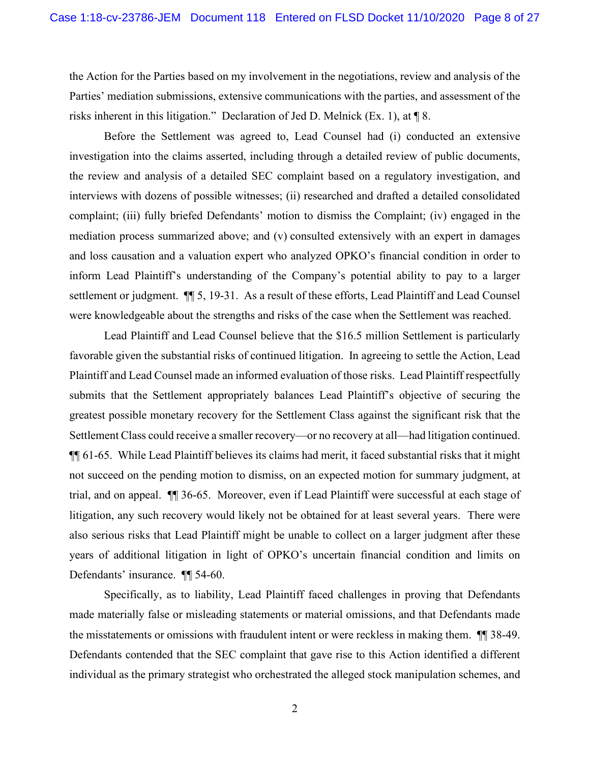the Action for the Parties based on my involvement in the negotiations, review and analysis of the Parties' mediation submissions, extensive communications with the parties, and assessment of the risks inherent in this litigation." Declaration of Jed D. Melnick (Ex. 1), at ¶ 8.

Before the Settlement was agreed to, Lead Counsel had (i) conducted an extensive investigation into the claims asserted, including through a detailed review of public documents, the review and analysis of a detailed SEC complaint based on a regulatory investigation, and interviews with dozens of possible witnesses; (ii) researched and drafted a detailed consolidated complaint; (iii) fully briefed Defendants' motion to dismiss the Complaint; (iv) engaged in the mediation process summarized above; and (v) consulted extensively with an expert in damages and loss causation and a valuation expert who analyzed OPKO's financial condition in order to inform Lead Plaintiff's understanding of the Company's potential ability to pay to a larger settlement or judgment.  $\P$  5, 19-31. As a result of these efforts, Lead Plaintiff and Lead Counsel were knowledgeable about the strengths and risks of the case when the Settlement was reached.

Lead Plaintiff and Lead Counsel believe that the \$16.5 million Settlement is particularly favorable given the substantial risks of continued litigation. In agreeing to settle the Action, Lead Plaintiff and Lead Counsel made an informed evaluation of those risks. Lead Plaintiff respectfully submits that the Settlement appropriately balances Lead Plaintiff's objective of securing the greatest possible monetary recovery for the Settlement Class against the significant risk that the Settlement Class could receive a smaller recovery—or no recovery at all—had litigation continued. ¶¶ 61-65. While Lead Plaintiff believes its claims had merit, it faced substantial risks that it might not succeed on the pending motion to dismiss, on an expected motion for summary judgment, at trial, and on appeal. ¶¶ 36-65. Moreover, even if Lead Plaintiff were successful at each stage of litigation, any such recovery would likely not be obtained for at least several years. There were also serious risks that Lead Plaintiff might be unable to collect on a larger judgment after these years of additional litigation in light of OPKO's uncertain financial condition and limits on Defendants' insurance. ¶¶ 54-60.

Specifically, as to liability, Lead Plaintiff faced challenges in proving that Defendants made materially false or misleading statements or material omissions, and that Defendants made the misstatements or omissions with fraudulent intent or were reckless in making them. ¶¶ 38-49. Defendants contended that the SEC complaint that gave rise to this Action identified a different individual as the primary strategist who orchestrated the alleged stock manipulation schemes, and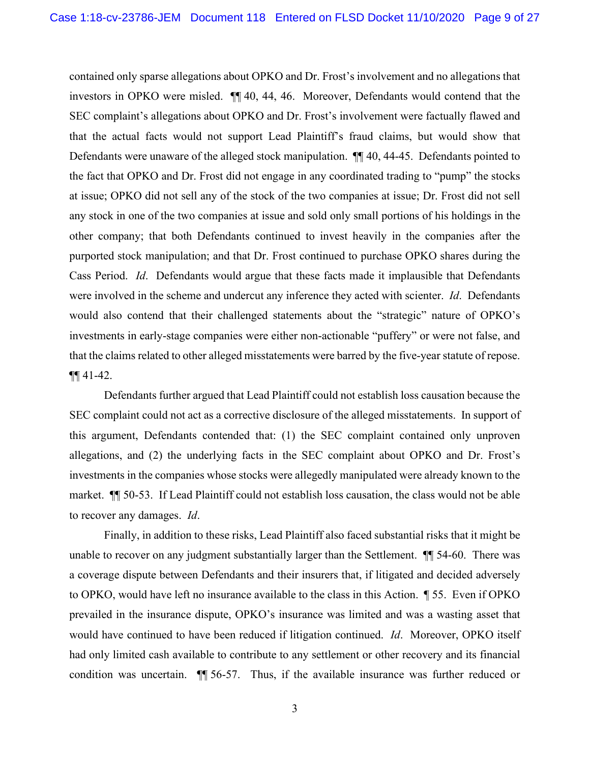contained only sparse allegations about OPKO and Dr. Frost's involvement and no allegations that investors in OPKO were misled. ¶¶ 40, 44, 46. Moreover, Defendants would contend that the SEC complaint's allegations about OPKO and Dr. Frost's involvement were factually flawed and that the actual facts would not support Lead Plaintiff's fraud claims, but would show that Defendants were unaware of the alleged stock manipulation. ¶¶ 40, 44-45. Defendants pointed to the fact that OPKO and Dr. Frost did not engage in any coordinated trading to "pump" the stocks at issue; OPKO did not sell any of the stock of the two companies at issue; Dr. Frost did not sell any stock in one of the two companies at issue and sold only small portions of his holdings in the other company; that both Defendants continued to invest heavily in the companies after the purported stock manipulation; and that Dr. Frost continued to purchase OPKO shares during the Cass Period. *Id*. Defendants would argue that these facts made it implausible that Defendants were involved in the scheme and undercut any inference they acted with scienter. *Id*. Defendants would also contend that their challenged statements about the "strategic" nature of OPKO's investments in early-stage companies were either non-actionable "puffery" or were not false, and that the claims related to other alleged misstatements were barred by the five-year statute of repose.  $\P\P$  41-42.

Defendants further argued that Lead Plaintiff could not establish loss causation because the SEC complaint could not act as a corrective disclosure of the alleged misstatements. In support of this argument, Defendants contended that: (1) the SEC complaint contained only unproven allegations, and (2) the underlying facts in the SEC complaint about OPKO and Dr. Frost's investments in the companies whose stocks were allegedly manipulated were already known to the market. ¶¶ 50-53. If Lead Plaintiff could not establish loss causation, the class would not be able to recover any damages. *Id*.

Finally, in addition to these risks, Lead Plaintiff also faced substantial risks that it might be unable to recover on any judgment substantially larger than the Settlement. **¶** 54-60. There was a coverage dispute between Defendants and their insurers that, if litigated and decided adversely to OPKO, would have left no insurance available to the class in this Action. ¶ 55. Even if OPKO prevailed in the insurance dispute, OPKO's insurance was limited and was a wasting asset that would have continued to have been reduced if litigation continued. *Id*. Moreover, OPKO itself had only limited cash available to contribute to any settlement or other recovery and its financial condition was uncertain. ¶¶ 56-57. Thus, if the available insurance was further reduced or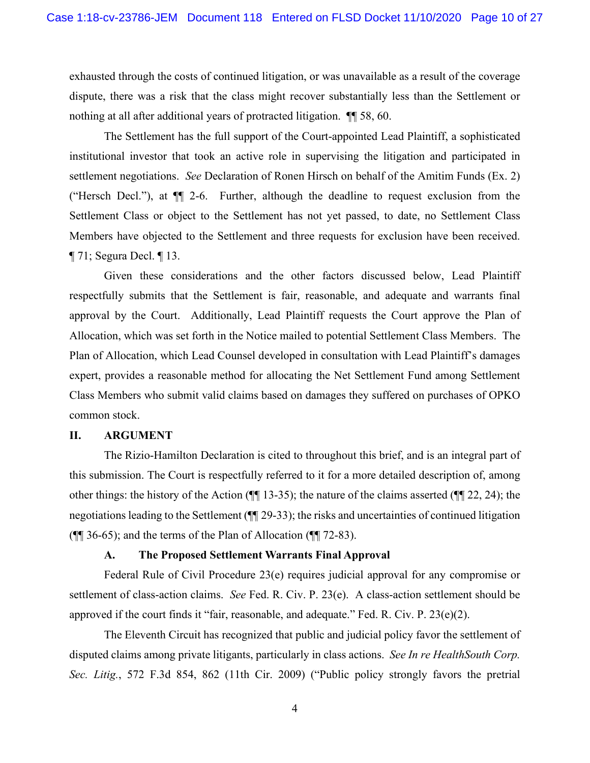exhausted through the costs of continued litigation, or was unavailable as a result of the coverage dispute, there was a risk that the class might recover substantially less than the Settlement or nothing at all after additional years of protracted litigation. ¶¶ 58, 60.

The Settlement has the full support of the Court-appointed Lead Plaintiff, a sophisticated institutional investor that took an active role in supervising the litigation and participated in settlement negotiations. *See* Declaration of Ronen Hirsch on behalf of the Amitim Funds (Ex. 2) ("Hersch Decl."), at ¶¶ 2-6. Further, although the deadline to request exclusion from the Settlement Class or object to the Settlement has not yet passed, to date, no Settlement Class Members have objected to the Settlement and three requests for exclusion have been received. ¶ 71; Segura Decl. ¶ 13.

Given these considerations and the other factors discussed below, Lead Plaintiff respectfully submits that the Settlement is fair, reasonable, and adequate and warrants final approval by the Court. Additionally, Lead Plaintiff requests the Court approve the Plan of Allocation, which was set forth in the Notice mailed to potential Settlement Class Members. The Plan of Allocation, which Lead Counsel developed in consultation with Lead Plaintiff's damages expert, provides a reasonable method for allocating the Net Settlement Fund among Settlement Class Members who submit valid claims based on damages they suffered on purchases of OPKO common stock.

#### **II. ARGUMENT**

The Rizio-Hamilton Declaration is cited to throughout this brief, and is an integral part of this submission. The Court is respectfully referred to it for a more detailed description of, among other things: the history of the Action (¶¶ 13-35); the nature of the claims asserted (¶¶ 22, 24); the negotiations leading to the Settlement (¶¶ 29-33); the risks and uncertainties of continued litigation (¶¶ 36-65); and the terms of the Plan of Allocation (¶¶ 72-83).

#### **A. The Proposed Settlement Warrants Final Approval**

Federal Rule of Civil Procedure 23(e) requires judicial approval for any compromise or settlement of class-action claims. *See* Fed. R. Civ. P. 23(e). A class-action settlement should be approved if the court finds it "fair, reasonable, and adequate." Fed. R. Civ. P. 23(e)(2).

The Eleventh Circuit has recognized that public and judicial policy favor the settlement of disputed claims among private litigants, particularly in class actions. *See In re HealthSouth Corp. Sec. Litig.*, 572 F.3d 854, 862 (11th Cir. 2009) ("Public policy strongly favors the pretrial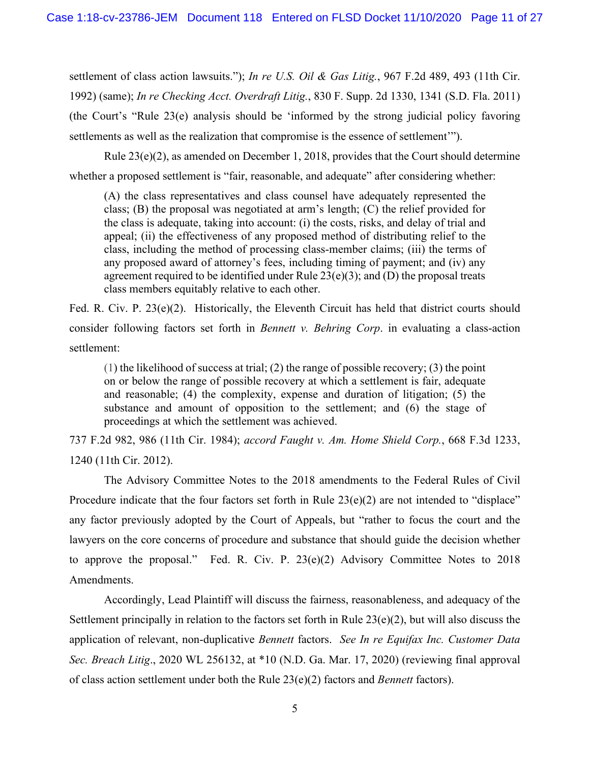settlement of class action lawsuits."); *In re U.S. Oil & Gas Litig.*, 967 F.2d 489, 493 (11th Cir. 1992) (same); *In re Checking Acct. Overdraft Litig.*, 830 F. Supp. 2d 1330, 1341 (S.D. Fla. 2011) (the Court's "Rule 23(e) analysis should be 'informed by the strong judicial policy favoring settlements as well as the realization that compromise is the essence of settlement'").

Rule 23(e)(2), as amended on December 1, 2018, provides that the Court should determine whether a proposed settlement is "fair, reasonable, and adequate" after considering whether:

(A) the class representatives and class counsel have adequately represented the class; (B) the proposal was negotiated at arm's length; (C) the relief provided for the class is adequate, taking into account: (i) the costs, risks, and delay of trial and appeal; (ii) the effectiveness of any proposed method of distributing relief to the class, including the method of processing class-member claims; (iii) the terms of any proposed award of attorney's fees, including timing of payment; and (iv) any agreement required to be identified under Rule  $23(e)(3)$ ; and (D) the proposal treats class members equitably relative to each other.

Fed. R. Civ. P. 23(e)(2). Historically, the Eleventh Circuit has held that district courts should consider following factors set forth in *Bennett v. Behring Corp*. in evaluating a class-action settlement:

 $(1)$  the likelihood of success at trial; (2) the range of possible recovery; (3) the point on or below the range of possible recovery at which a settlement is fair, adequate and reasonable; (4) the complexity, expense and duration of litigation; (5) the substance and amount of opposition to the settlement; and (6) the stage of proceedings at which the settlement was achieved.

737 F.2d 982, 986 (11th Cir. 1984); *accord Faught v. Am. Home Shield Corp.*, 668 F.3d 1233, 1240 (11th Cir. 2012).

The Advisory Committee Notes to the 2018 amendments to the Federal Rules of Civil Procedure indicate that the four factors set forth in Rule  $23(e)(2)$  are not intended to "displace" any factor previously adopted by the Court of Appeals, but "rather to focus the court and the lawyers on the core concerns of procedure and substance that should guide the decision whether to approve the proposal." Fed. R. Civ. P. 23(e)(2) Advisory Committee Notes to 2018 Amendments.

Accordingly, Lead Plaintiff will discuss the fairness, reasonableness, and adequacy of the Settlement principally in relation to the factors set forth in Rule 23(e)(2), but will also discuss the application of relevant, non-duplicative *Bennett* factors. *See In re Equifax Inc. Customer Data Sec. Breach Litig*., 2020 WL 256132, at \*10 (N.D. Ga. Mar. 17, 2020) (reviewing final approval of class action settlement under both the Rule 23(e)(2) factors and *Bennett* factors).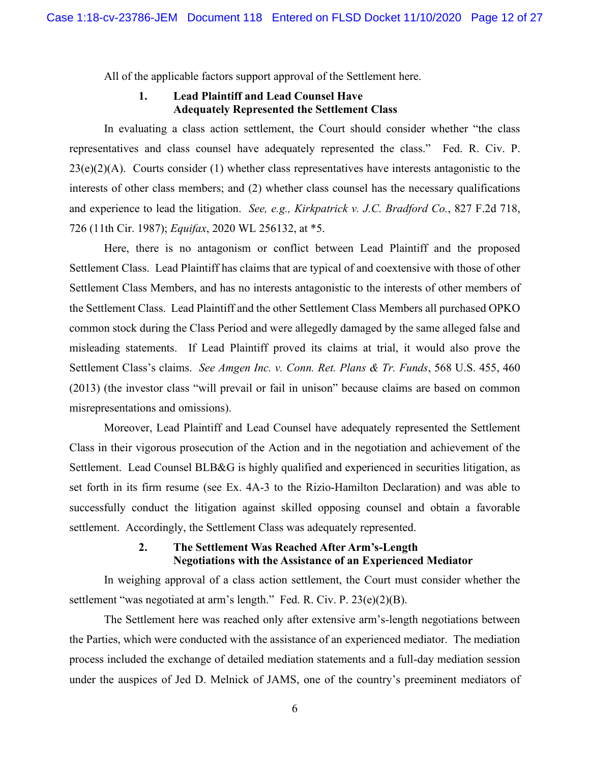All of the applicable factors support approval of the Settlement here.

# **1. Lead Plaintiff and Lead Counsel Have Adequately Represented the Settlement Class**

In evaluating a class action settlement, the Court should consider whether "the class representatives and class counsel have adequately represented the class." Fed. R. Civ. P.  $23(e)(2)(A)$ . Courts consider (1) whether class representatives have interests antagonistic to the interests of other class members; and (2) whether class counsel has the necessary qualifications and experience to lead the litigation. *See, e.g., Kirkpatrick v. J.C. Bradford Co.*, 827 F.2d 718, 726 (11th Cir. 1987); *Equifax*, 2020 WL 256132, at \*5.

Here, there is no antagonism or conflict between Lead Plaintiff and the proposed Settlement Class. Lead Plaintiff has claims that are typical of and coextensive with those of other Settlement Class Members, and has no interests antagonistic to the interests of other members of the Settlement Class. Lead Plaintiff and the other Settlement Class Members all purchased OPKO common stock during the Class Period and were allegedly damaged by the same alleged false and misleading statements. If Lead Plaintiff proved its claims at trial, it would also prove the Settlement Class's claims. *See Amgen Inc. v. Conn. Ret. Plans & Tr. Funds*, 568 U.S. 455, 460 (2013) (the investor class "will prevail or fail in unison" because claims are based on common misrepresentations and omissions).

Moreover, Lead Plaintiff and Lead Counsel have adequately represented the Settlement Class in their vigorous prosecution of the Action and in the negotiation and achievement of the Settlement. Lead Counsel BLB&G is highly qualified and experienced in securities litigation, as set forth in its firm resume (see Ex. 4A-3 to the Rizio-Hamilton Declaration) and was able to successfully conduct the litigation against skilled opposing counsel and obtain a favorable settlement. Accordingly, the Settlement Class was adequately represented.

# **2. The Settlement Was Reached After Arm's-Length Negotiations with the Assistance of an Experienced Mediator**

In weighing approval of a class action settlement, the Court must consider whether the settlement "was negotiated at arm's length." Fed. R. Civ. P. 23(e)(2)(B).

The Settlement here was reached only after extensive arm's-length negotiations between the Parties, which were conducted with the assistance of an experienced mediator. The mediation process included the exchange of detailed mediation statements and a full-day mediation session under the auspices of Jed D. Melnick of JAMS, one of the country's preeminent mediators of

6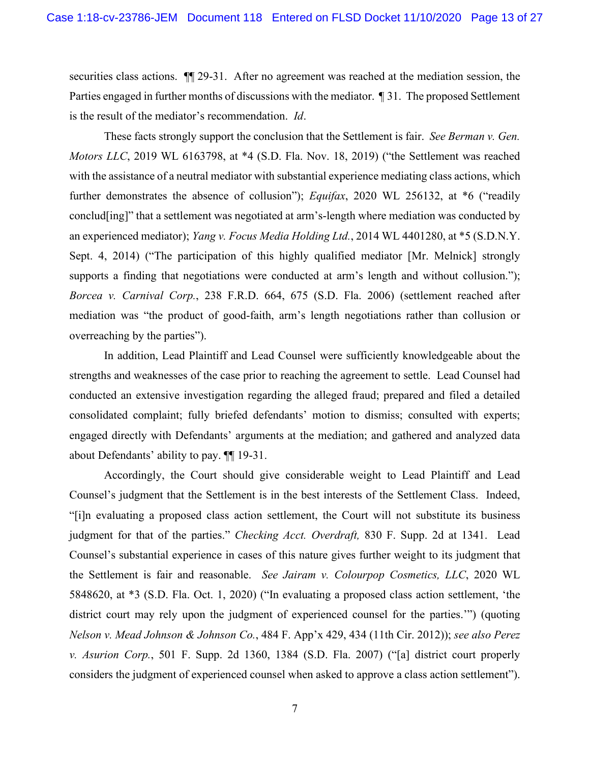securities class actions.  $\P$  29-31. After no agreement was reached at the mediation session, the Parties engaged in further months of discussions with the mediator. ¶ 31. The proposed Settlement is the result of the mediator's recommendation. *Id*.

These facts strongly support the conclusion that the Settlement is fair. *See Berman v. Gen. Motors LLC*, 2019 WL 6163798, at \*4 (S.D. Fla. Nov. 18, 2019) ("the Settlement was reached with the assistance of a neutral mediator with substantial experience mediating class actions, which further demonstrates the absence of collusion"); *Equifax*, 2020 WL 256132, at \*6 ("readily conclud[ing]" that a settlement was negotiated at arm's-length where mediation was conducted by an experienced mediator); *Yang v. Focus Media Holding Ltd.*, 2014 WL 4401280, at \*5 (S.D.N.Y. Sept. 4, 2014) ("The participation of this highly qualified mediator [Mr. Melnick] strongly supports a finding that negotiations were conducted at arm's length and without collusion."); *Borcea v. Carnival Corp.*, 238 F.R.D. 664, 675 (S.D. Fla. 2006) (settlement reached after mediation was "the product of good-faith, arm's length negotiations rather than collusion or overreaching by the parties").

In addition, Lead Plaintiff and Lead Counsel were sufficiently knowledgeable about the strengths and weaknesses of the case prior to reaching the agreement to settle. Lead Counsel had conducted an extensive investigation regarding the alleged fraud; prepared and filed a detailed consolidated complaint; fully briefed defendants' motion to dismiss; consulted with experts; engaged directly with Defendants' arguments at the mediation; and gathered and analyzed data about Defendants' ability to pay. ¶¶ 19-31.

Accordingly, the Court should give considerable weight to Lead Plaintiff and Lead Counsel's judgment that the Settlement is in the best interests of the Settlement Class. Indeed, "[i]n evaluating a proposed class action settlement, the Court will not substitute its business judgment for that of the parties." *Checking Acct. Overdraft,* 830 F. Supp. 2d at 1341. Lead Counsel's substantial experience in cases of this nature gives further weight to its judgment that the Settlement is fair and reasonable. *See Jairam v. Colourpop Cosmetics, LLC*, 2020 WL 5848620, at \*3 (S.D. Fla. Oct. 1, 2020) ("In evaluating a proposed class action settlement, 'the district court may rely upon the judgment of experienced counsel for the parties.'") (quoting *Nelson v. Mead Johnson & Johnson Co.*, 484 F. App'x 429, 434 (11th Cir. 2012)); *see also Perez v. Asurion Corp.*, 501 F. Supp. 2d 1360, 1384 (S.D. Fla. 2007) ("[a] district court properly considers the judgment of experienced counsel when asked to approve a class action settlement").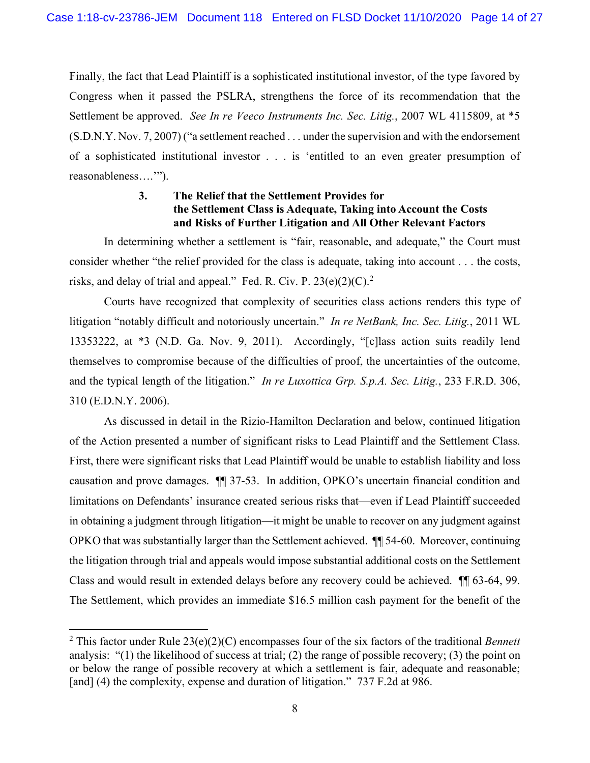Finally, the fact that Lead Plaintiff is a sophisticated institutional investor, of the type favored by Congress when it passed the PSLRA, strengthens the force of its recommendation that the Settlement be approved. *See In re Veeco Instruments Inc. Sec. Litig.*, 2007 WL 4115809, at \*5 (S.D.N.Y. Nov. 7, 2007) ("a settlement reached . . . under the supervision and with the endorsement of a sophisticated institutional investor . . . is 'entitled to an even greater presumption of reasonableness….'").

# **3. The Relief that the Settlement Provides for the Settlement Class is Adequate, Taking into Account the Costs and Risks of Further Litigation and All Other Relevant Factors**

In determining whether a settlement is "fair, reasonable, and adequate," the Court must consider whether "the relief provided for the class is adequate, taking into account . . . the costs, risks, and delay of trial and appeal." Fed. R. Civ. P. 23(e)(2)(C).<sup>2</sup>

Courts have recognized that complexity of securities class actions renders this type of litigation "notably difficult and notoriously uncertain." *In re NetBank, Inc. Sec. Litig.*, 2011 WL 13353222, at \*3 (N.D. Ga. Nov. 9, 2011). Accordingly, "[c]lass action suits readily lend themselves to compromise because of the difficulties of proof, the uncertainties of the outcome, and the typical length of the litigation." *In re Luxottica Grp. S.p.A. Sec. Litig.*, 233 F.R.D. 306, 310 (E.D.N.Y. 2006).

As discussed in detail in the Rizio-Hamilton Declaration and below, continued litigation of the Action presented a number of significant risks to Lead Plaintiff and the Settlement Class. First, there were significant risks that Lead Plaintiff would be unable to establish liability and loss causation and prove damages. ¶¶ 37-53. In addition, OPKO's uncertain financial condition and limitations on Defendants' insurance created serious risks that—even if Lead Plaintiff succeeded in obtaining a judgment through litigation—it might be unable to recover on any judgment against OPKO that was substantially larger than the Settlement achieved. ¶¶ 54-60. Moreover, continuing the litigation through trial and appeals would impose substantial additional costs on the Settlement Class and would result in extended delays before any recovery could be achieved. ¶¶ 63-64, 99. The Settlement, which provides an immediate \$16.5 million cash payment for the benefit of the

<sup>2</sup> This factor under Rule 23(e)(2)(C) encompasses four of the six factors of the traditional *Bennett*  analysis: "(1) the likelihood of success at trial; (2) the range of possible recovery; (3) the point on or below the range of possible recovery at which a settlement is fair, adequate and reasonable; [and] (4) the complexity, expense and duration of litigation." 737 F.2d at 986.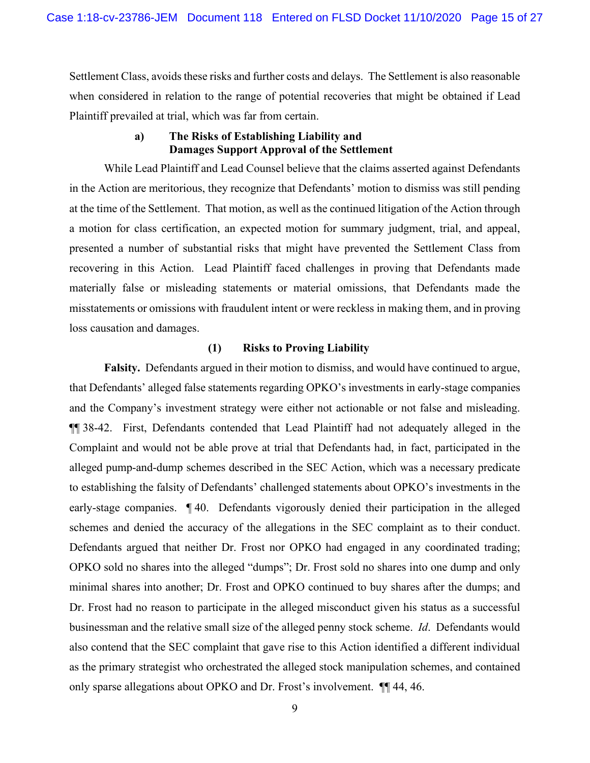Settlement Class, avoids these risks and further costs and delays. The Settlement is also reasonable when considered in relation to the range of potential recoveries that might be obtained if Lead Plaintiff prevailed at trial, which was far from certain.

### **a) The Risks of Establishing Liability and Damages Support Approval of the Settlement**

While Lead Plaintiff and Lead Counsel believe that the claims asserted against Defendants in the Action are meritorious, they recognize that Defendants' motion to dismiss was still pending at the time of the Settlement. That motion, as well as the continued litigation of the Action through a motion for class certification, an expected motion for summary judgment, trial, and appeal, presented a number of substantial risks that might have prevented the Settlement Class from recovering in this Action. Lead Plaintiff faced challenges in proving that Defendants made materially false or misleading statements or material omissions, that Defendants made the misstatements or omissions with fraudulent intent or were reckless in making them, and in proving loss causation and damages.

#### **(1) Risks to Proving Liability**

**Falsity.** Defendants argued in their motion to dismiss, and would have continued to argue, that Defendants' alleged false statements regarding OPKO's investments in early-stage companies and the Company's investment strategy were either not actionable or not false and misleading. ¶¶ 38-42. First, Defendants contended that Lead Plaintiff had not adequately alleged in the Complaint and would not be able prove at trial that Defendants had, in fact, participated in the alleged pump-and-dump schemes described in the SEC Action, which was a necessary predicate to establishing the falsity of Defendants' challenged statements about OPKO's investments in the early-stage companies. ¶ 40. Defendants vigorously denied their participation in the alleged schemes and denied the accuracy of the allegations in the SEC complaint as to their conduct. Defendants argued that neither Dr. Frost nor OPKO had engaged in any coordinated trading; OPKO sold no shares into the alleged "dumps"; Dr. Frost sold no shares into one dump and only minimal shares into another; Dr. Frost and OPKO continued to buy shares after the dumps; and Dr. Frost had no reason to participate in the alleged misconduct given his status as a successful businessman and the relative small size of the alleged penny stock scheme. *Id*. Defendants would also contend that the SEC complaint that gave rise to this Action identified a different individual as the primary strategist who orchestrated the alleged stock manipulation schemes, and contained only sparse allegations about OPKO and Dr. Frost's involvement. ¶¶ 44, 46.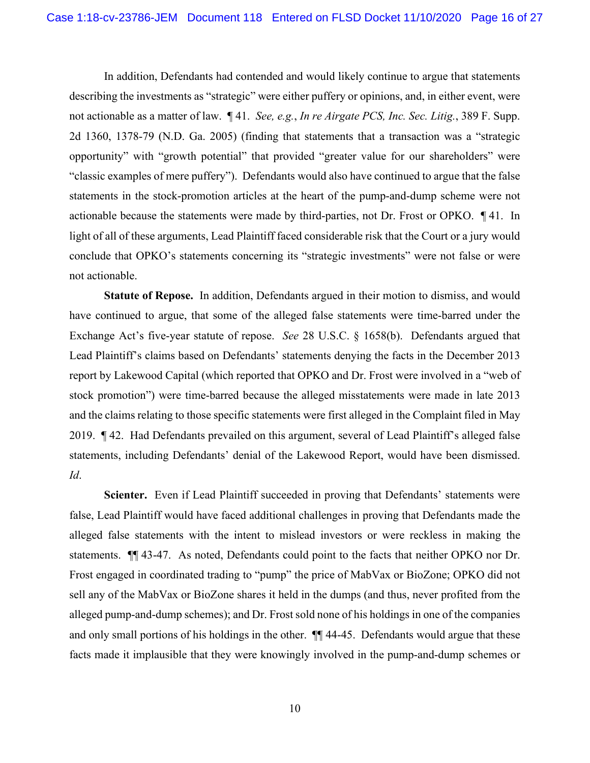In addition, Defendants had contended and would likely continue to argue that statements describing the investments as "strategic" were either puffery or opinions, and, in either event, were not actionable as a matter of law. ¶ 41. *See, e.g.*, *In re Airgate PCS, Inc. Sec. Litig.*, 389 F. Supp. 2d 1360, 1378-79 (N.D. Ga. 2005) (finding that statements that a transaction was a "strategic opportunity" with "growth potential" that provided "greater value for our shareholders" were "classic examples of mere puffery"). Defendants would also have continued to argue that the false statements in the stock-promotion articles at the heart of the pump-and-dump scheme were not actionable because the statements were made by third-parties, not Dr. Frost or OPKO. ¶ 41. In light of all of these arguments, Lead Plaintiff faced considerable risk that the Court or a jury would conclude that OPKO's statements concerning its "strategic investments" were not false or were not actionable.

**Statute of Repose.** In addition, Defendants argued in their motion to dismiss, and would have continued to argue, that some of the alleged false statements were time-barred under the Exchange Act's five-year statute of repose. *See* 28 U.S.C. § 1658(b). Defendants argued that Lead Plaintiff's claims based on Defendants' statements denying the facts in the December 2013 report by Lakewood Capital (which reported that OPKO and Dr. Frost were involved in a "web of stock promotion") were time-barred because the alleged misstatements were made in late 2013 and the claims relating to those specific statements were first alleged in the Complaint filed in May 2019. ¶ 42. Had Defendants prevailed on this argument, several of Lead Plaintiff's alleged false statements, including Defendants' denial of the Lakewood Report, would have been dismissed. *Id*.

Scienter. Even if Lead Plaintiff succeeded in proving that Defendants' statements were false, Lead Plaintiff would have faced additional challenges in proving that Defendants made the alleged false statements with the intent to mislead investors or were reckless in making the statements. ¶¶ 43-47. As noted, Defendants could point to the facts that neither OPKO nor Dr. Frost engaged in coordinated trading to "pump" the price of MabVax or BioZone; OPKO did not sell any of the MabVax or BioZone shares it held in the dumps (and thus, never profited from the alleged pump-and-dump schemes); and Dr. Frost sold none of his holdings in one of the companies and only small portions of his holdings in the other. ¶¶ 44-45. Defendants would argue that these facts made it implausible that they were knowingly involved in the pump-and-dump schemes or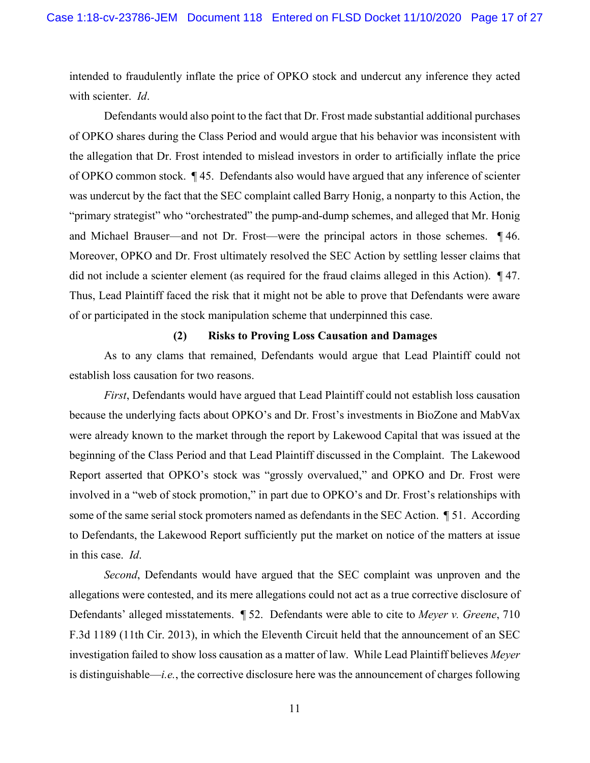intended to fraudulently inflate the price of OPKO stock and undercut any inference they acted with scienter. *Id*.

Defendants would also point to the fact that Dr. Frost made substantial additional purchases of OPKO shares during the Class Period and would argue that his behavior was inconsistent with the allegation that Dr. Frost intended to mislead investors in order to artificially inflate the price of OPKO common stock. ¶ 45. Defendants also would have argued that any inference of scienter was undercut by the fact that the SEC complaint called Barry Honig, a nonparty to this Action, the "primary strategist" who "orchestrated" the pump-and-dump schemes, and alleged that Mr. Honig and Michael Brauser—and not Dr. Frost—were the principal actors in those schemes. ¶ 46. Moreover, OPKO and Dr. Frost ultimately resolved the SEC Action by settling lesser claims that did not include a scienter element (as required for the fraud claims alleged in this Action). ¶ 47. Thus, Lead Plaintiff faced the risk that it might not be able to prove that Defendants were aware of or participated in the stock manipulation scheme that underpinned this case.

#### **(2) Risks to Proving Loss Causation and Damages**

As to any clams that remained, Defendants would argue that Lead Plaintiff could not establish loss causation for two reasons.

*First*, Defendants would have argued that Lead Plaintiff could not establish loss causation because the underlying facts about OPKO's and Dr. Frost's investments in BioZone and MabVax were already known to the market through the report by Lakewood Capital that was issued at the beginning of the Class Period and that Lead Plaintiff discussed in the Complaint. The Lakewood Report asserted that OPKO's stock was "grossly overvalued," and OPKO and Dr. Frost were involved in a "web of stock promotion," in part due to OPKO's and Dr. Frost's relationships with some of the same serial stock promoters named as defendants in the SEC Action.  $\parallel$  51. According to Defendants, the Lakewood Report sufficiently put the market on notice of the matters at issue in this case. *Id*.

*Second*, Defendants would have argued that the SEC complaint was unproven and the allegations were contested, and its mere allegations could not act as a true corrective disclosure of Defendants' alleged misstatements. ¶ 52. Defendants were able to cite to *Meyer v. Greene*, 710 F.3d 1189 (11th Cir. 2013), in which the Eleventh Circuit held that the announcement of an SEC investigation failed to show loss causation as a matter of law. While Lead Plaintiff believes *Meyer* is distinguishable—*i.e.*, the corrective disclosure here was the announcement of charges following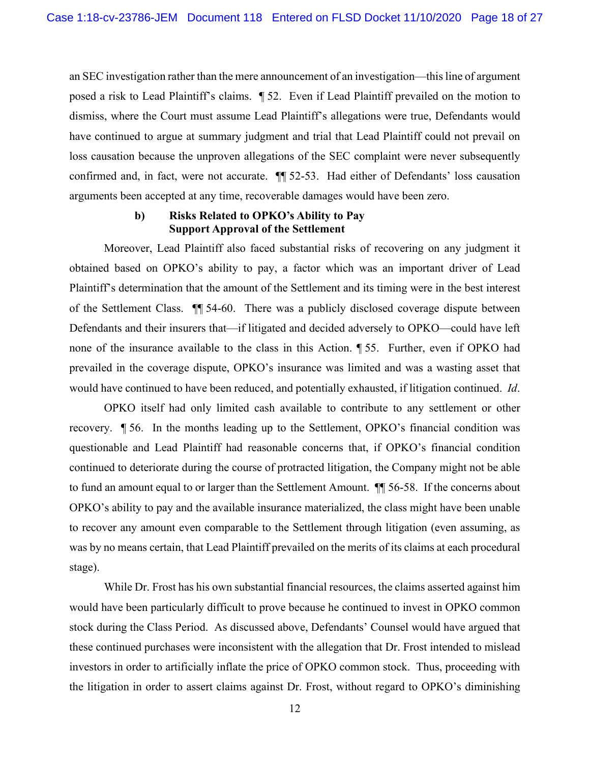an SEC investigation rather than the mere announcement of an investigation—this line of argument posed a risk to Lead Plaintiff's claims. ¶ 52. Even if Lead Plaintiff prevailed on the motion to dismiss, where the Court must assume Lead Plaintiff's allegations were true, Defendants would have continued to argue at summary judgment and trial that Lead Plaintiff could not prevail on loss causation because the unproven allegations of the SEC complaint were never subsequently confirmed and, in fact, were not accurate. ¶¶ 52-53. Had either of Defendants' loss causation arguments been accepted at any time, recoverable damages would have been zero.

#### **b) Risks Related to OPKO's Ability to Pay Support Approval of the Settlement**

Moreover, Lead Plaintiff also faced substantial risks of recovering on any judgment it obtained based on OPKO's ability to pay, a factor which was an important driver of Lead Plaintiff's determination that the amount of the Settlement and its timing were in the best interest of the Settlement Class. ¶¶ 54-60. There was a publicly disclosed coverage dispute between Defendants and their insurers that—if litigated and decided adversely to OPKO—could have left none of the insurance available to the class in this Action. ¶ 55. Further, even if OPKO had prevailed in the coverage dispute, OPKO's insurance was limited and was a wasting asset that would have continued to have been reduced, and potentially exhausted, if litigation continued. *Id*.

OPKO itself had only limited cash available to contribute to any settlement or other recovery. ¶ 56. In the months leading up to the Settlement, OPKO's financial condition was questionable and Lead Plaintiff had reasonable concerns that, if OPKO's financial condition continued to deteriorate during the course of protracted litigation, the Company might not be able to fund an amount equal to or larger than the Settlement Amount. ¶¶ 56-58. If the concerns about OPKO's ability to pay and the available insurance materialized, the class might have been unable to recover any amount even comparable to the Settlement through litigation (even assuming, as was by no means certain, that Lead Plaintiff prevailed on the merits of its claims at each procedural stage).

While Dr. Frost has his own substantial financial resources, the claims asserted against him would have been particularly difficult to prove because he continued to invest in OPKO common stock during the Class Period. As discussed above, Defendants' Counsel would have argued that these continued purchases were inconsistent with the allegation that Dr. Frost intended to mislead investors in order to artificially inflate the price of OPKO common stock. Thus, proceeding with the litigation in order to assert claims against Dr. Frost, without regard to OPKO's diminishing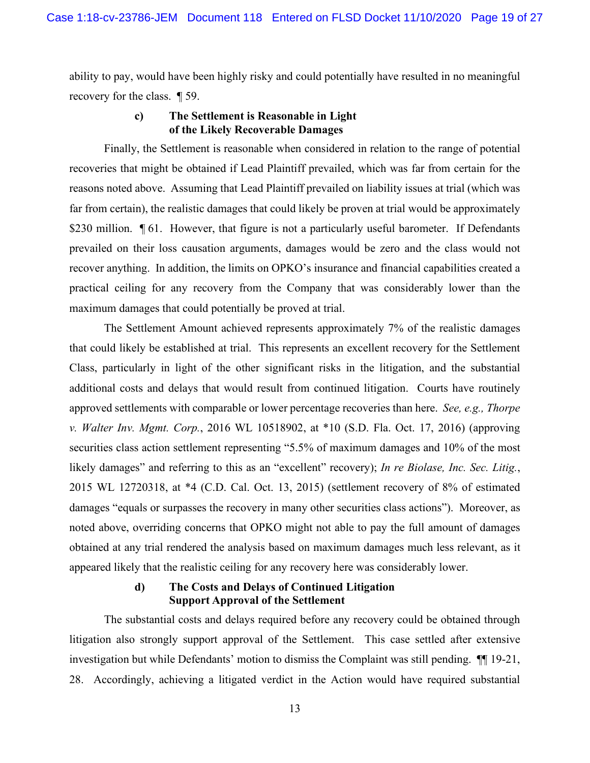ability to pay, would have been highly risky and could potentially have resulted in no meaningful recovery for the class. ¶ 59.

## **c) The Settlement is Reasonable in Light of the Likely Recoverable Damages**

Finally, the Settlement is reasonable when considered in relation to the range of potential recoveries that might be obtained if Lead Plaintiff prevailed, which was far from certain for the reasons noted above. Assuming that Lead Plaintiff prevailed on liability issues at trial (which was far from certain), the realistic damages that could likely be proven at trial would be approximately \$230 million.  $\llbracket 61$ . However, that figure is not a particularly useful barometer. If Defendants prevailed on their loss causation arguments, damages would be zero and the class would not recover anything. In addition, the limits on OPKO's insurance and financial capabilities created a practical ceiling for any recovery from the Company that was considerably lower than the maximum damages that could potentially be proved at trial.

The Settlement Amount achieved represents approximately 7% of the realistic damages that could likely be established at trial. This represents an excellent recovery for the Settlement Class, particularly in light of the other significant risks in the litigation, and the substantial additional costs and delays that would result from continued litigation. Courts have routinely approved settlements with comparable or lower percentage recoveries than here. *See, e.g., Thorpe v. Walter Inv. Mgmt. Corp.*, 2016 WL 10518902, at \*10 (S.D. Fla. Oct. 17, 2016) (approving securities class action settlement representing "5.5% of maximum damages and 10% of the most likely damages" and referring to this as an "excellent" recovery); *In re Biolase, Inc. Sec. Litig.*, 2015 WL 12720318, at \*4 (C.D. Cal. Oct. 13, 2015) (settlement recovery of 8% of estimated damages "equals or surpasses the recovery in many other securities class actions"). Moreover, as noted above, overriding concerns that OPKO might not able to pay the full amount of damages obtained at any trial rendered the analysis based on maximum damages much less relevant, as it appeared likely that the realistic ceiling for any recovery here was considerably lower.

# **d) The Costs and Delays of Continued Litigation Support Approval of the Settlement**

The substantial costs and delays required before any recovery could be obtained through litigation also strongly support approval of the Settlement. This case settled after extensive investigation but while Defendants' motion to dismiss the Complaint was still pending. ¶¶ 19-21, 28. Accordingly, achieving a litigated verdict in the Action would have required substantial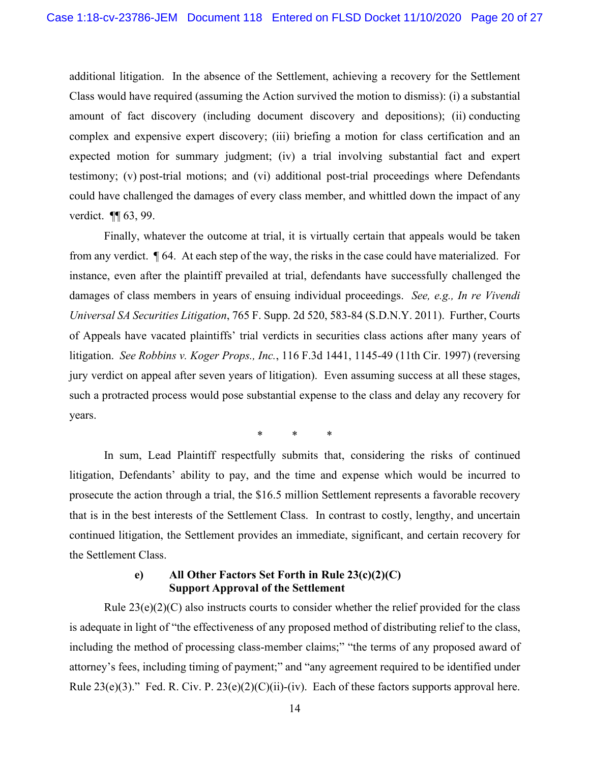additional litigation. In the absence of the Settlement, achieving a recovery for the Settlement Class would have required (assuming the Action survived the motion to dismiss): (i) a substantial amount of fact discovery (including document discovery and depositions); (ii) conducting complex and expensive expert discovery; (iii) briefing a motion for class certification and an expected motion for summary judgment; (iv) a trial involving substantial fact and expert testimony; (v) post-trial motions; and (vi) additional post-trial proceedings where Defendants could have challenged the damages of every class member, and whittled down the impact of any verdict. ¶ 63, 99.

Finally, whatever the outcome at trial, it is virtually certain that appeals would be taken from any verdict. ¶ 64. At each step of the way, the risks in the case could have materialized. For instance, even after the plaintiff prevailed at trial, defendants have successfully challenged the damages of class members in years of ensuing individual proceedings. *See, e.g., In re Vivendi Universal SA Securities Litigation*, 765 F. Supp. 2d 520, 583-84 (S.D.N.Y. 2011). Further, Courts of Appeals have vacated plaintiffs' trial verdicts in securities class actions after many years of litigation. *See Robbins v. Koger Props., Inc.*, 116 F.3d 1441, 1145-49 (11th Cir. 1997) (reversing jury verdict on appeal after seven years of litigation). Even assuming success at all these stages, such a protracted process would pose substantial expense to the class and delay any recovery for years.

\* \* \*

In sum, Lead Plaintiff respectfully submits that, considering the risks of continued litigation, Defendants' ability to pay, and the time and expense which would be incurred to prosecute the action through a trial, the \$16.5 million Settlement represents a favorable recovery that is in the best interests of the Settlement Class. In contrast to costly, lengthy, and uncertain continued litigation, the Settlement provides an immediate, significant, and certain recovery for the Settlement Class.

## **e) All Other Factors Set Forth in Rule 23(c)(2)(C) Support Approval of the Settlement**

Rule  $23(e)(2)(C)$  also instructs courts to consider whether the relief provided for the class is adequate in light of "the effectiveness of any proposed method of distributing relief to the class, including the method of processing class-member claims;" "the terms of any proposed award of attorney's fees, including timing of payment;" and "any agreement required to be identified under Rule  $23(e)(3)$ ." Fed. R. Civ. P.  $23(e)(2)(C)(ii)$ -(iv). Each of these factors supports approval here.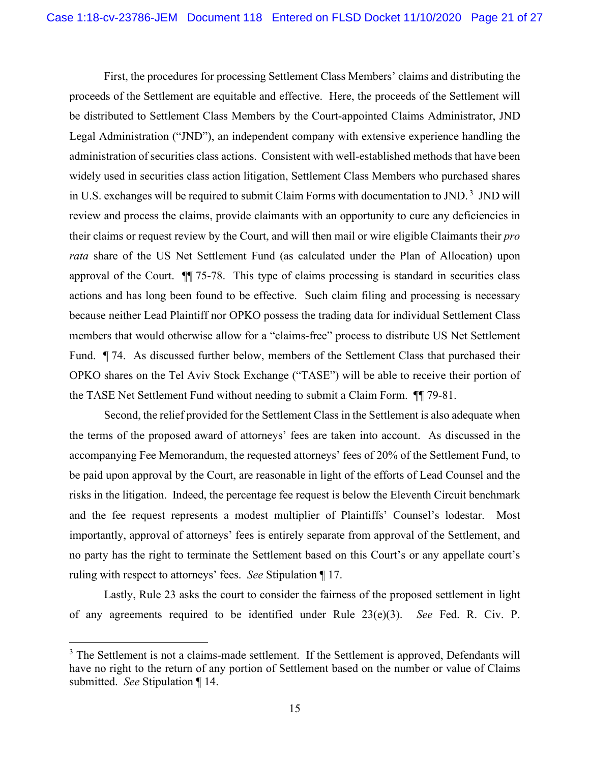First, the procedures for processing Settlement Class Members' claims and distributing the proceeds of the Settlement are equitable and effective. Here, the proceeds of the Settlement will be distributed to Settlement Class Members by the Court-appointed Claims Administrator, JND Legal Administration ("JND"), an independent company with extensive experience handling the administration of securities class actions. Consistent with well-established methods that have been widely used in securities class action litigation, Settlement Class Members who purchased shares in U.S. exchanges will be required to submit Claim Forms with documentation to JND.<sup>3</sup> JND will review and process the claims, provide claimants with an opportunity to cure any deficiencies in their claims or request review by the Court, and will then mail or wire eligible Claimants their *pro rata* share of the US Net Settlement Fund (as calculated under the Plan of Allocation) upon approval of the Court. ¶¶ 75-78. This type of claims processing is standard in securities class actions and has long been found to be effective. Such claim filing and processing is necessary because neither Lead Plaintiff nor OPKO possess the trading data for individual Settlement Class members that would otherwise allow for a "claims-free" process to distribute US Net Settlement Fund. ¶ 74. As discussed further below, members of the Settlement Class that purchased their OPKO shares on the Tel Aviv Stock Exchange ("TASE") will be able to receive their portion of the TASE Net Settlement Fund without needing to submit a Claim Form. ¶¶ 79-81.

Second, the relief provided for the Settlement Class in the Settlement is also adequate when the terms of the proposed award of attorneys' fees are taken into account. As discussed in the accompanying Fee Memorandum, the requested attorneys' fees of 20% of the Settlement Fund, to be paid upon approval by the Court, are reasonable in light of the efforts of Lead Counsel and the risks in the litigation. Indeed, the percentage fee request is below the Eleventh Circuit benchmark and the fee request represents a modest multiplier of Plaintiffs' Counsel's lodestar. Most importantly, approval of attorneys' fees is entirely separate from approval of the Settlement, and no party has the right to terminate the Settlement based on this Court's or any appellate court's ruling with respect to attorneys' fees. *See* Stipulation ¶ 17.

Lastly, Rule 23 asks the court to consider the fairness of the proposed settlement in light of any agreements required to be identified under Rule 23(e)(3). *See* Fed. R. Civ. P.

 $3$  The Settlement is not a claims-made settlement. If the Settlement is approved, Defendants will have no right to the return of any portion of Settlement based on the number or value of Claims submitted. *See* Stipulation ¶ 14.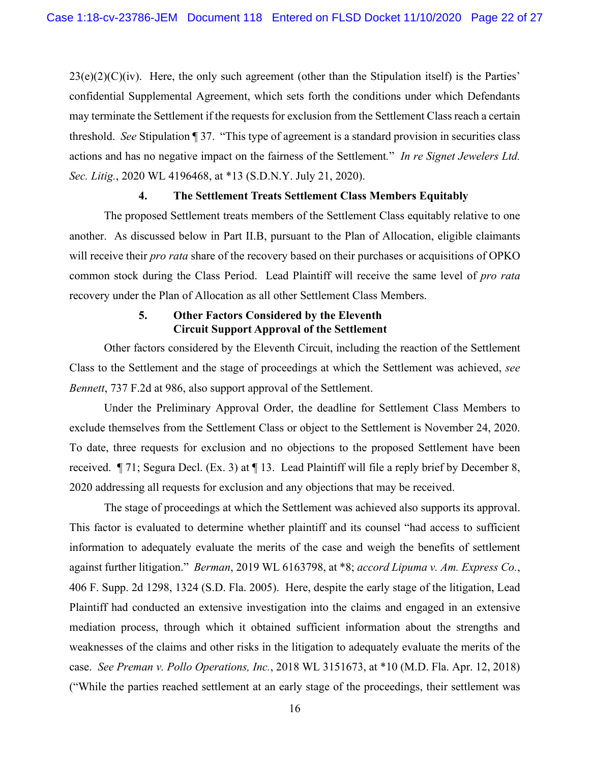$23(e)(2)(C)(iv)$ . Here, the only such agreement (other than the Stipulation itself) is the Parties' confidential Supplemental Agreement, which sets forth the conditions under which Defendants may terminate the Settlement if the requests for exclusion from the Settlement Class reach a certain threshold. *See* Stipulation ¶ 37. "This type of agreement is a standard provision in securities class actions and has no negative impact on the fairness of the Settlement*.*" *In re Signet Jewelers Ltd. Sec. Litig.*, 2020 WL 4196468, at \*13 (S.D.N.Y. July 21, 2020).

#### **4. The Settlement Treats Settlement Class Members Equitably**

The proposed Settlement treats members of the Settlement Class equitably relative to one another. As discussed below in Part II.B, pursuant to the Plan of Allocation, eligible claimants will receive their *pro rata* share of the recovery based on their purchases or acquisitions of OPKO common stock during the Class Period. Lead Plaintiff will receive the same level of *pro rata* recovery under the Plan of Allocation as all other Settlement Class Members.

### **5. Other Factors Considered by the Eleventh Circuit Support Approval of the Settlement**

Other factors considered by the Eleventh Circuit, including the reaction of the Settlement Class to the Settlement and the stage of proceedings at which the Settlement was achieved, *see Bennett*, 737 F.2d at 986, also support approval of the Settlement.

Under the Preliminary Approval Order, the deadline for Settlement Class Members to exclude themselves from the Settlement Class or object to the Settlement is November 24, 2020. To date, three requests for exclusion and no objections to the proposed Settlement have been received. ¶ 71; Segura Decl. (Ex. 3) at ¶ 13. Lead Plaintiff will file a reply brief by December 8, 2020 addressing all requests for exclusion and any objections that may be received.

The stage of proceedings at which the Settlement was achieved also supports its approval. This factor is evaluated to determine whether plaintiff and its counsel "had access to sufficient information to adequately evaluate the merits of the case and weigh the benefits of settlement against further litigation." *Berman*, 2019 WL 6163798, at \*8; *accord Lipuma v. Am. Express Co.*, 406 F. Supp. 2d 1298, 1324 (S.D. Fla. 2005). Here, despite the early stage of the litigation, Lead Plaintiff had conducted an extensive investigation into the claims and engaged in an extensive mediation process, through which it obtained sufficient information about the strengths and weaknesses of the claims and other risks in the litigation to adequately evaluate the merits of the case. *See Preman v. Pollo Operations, Inc.*, 2018 WL 3151673, at \*10 (M.D. Fla. Apr. 12, 2018) ("While the parties reached settlement at an early stage of the proceedings, their settlement was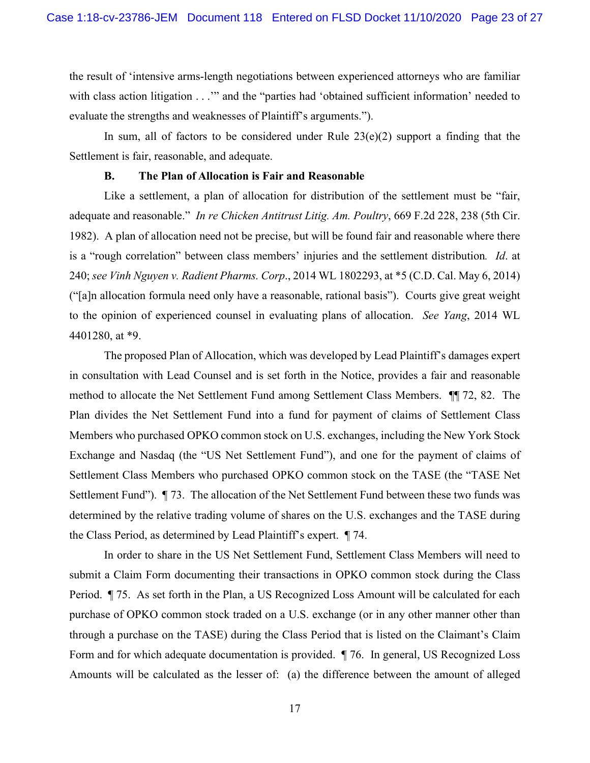the result of 'intensive arms-length negotiations between experienced attorneys who are familiar with class action litigation . . ."" and the "parties had 'obtained sufficient information' needed to evaluate the strengths and weaknesses of Plaintiff's arguments.").

In sum, all of factors to be considered under Rule  $23(e)(2)$  support a finding that the Settlement is fair, reasonable, and adequate.

#### **B. The Plan of Allocation is Fair and Reasonable**

Like a settlement, a plan of allocation for distribution of the settlement must be "fair, adequate and reasonable." *In re Chicken Antitrust Litig. Am. Poultry*, 669 F.2d 228, 238 (5th Cir. 1982). A plan of allocation need not be precise, but will be found fair and reasonable where there is a "rough correlation" between class members' injuries and the settlement distribution*. Id*. at 240; *see Vinh Nguyen v. Radient Pharms. Corp*., 2014 WL 1802293, at \*5 (C.D. Cal. May 6, 2014) ("[a]n allocation formula need only have a reasonable, rational basis"). Courts give great weight to the opinion of experienced counsel in evaluating plans of allocation. *See Yang*, 2014 WL 4401280, at \*9.

The proposed Plan of Allocation, which was developed by Lead Plaintiff's damages expert in consultation with Lead Counsel and is set forth in the Notice, provides a fair and reasonable method to allocate the Net Settlement Fund among Settlement Class Members. ¶¶ 72, 82. The Plan divides the Net Settlement Fund into a fund for payment of claims of Settlement Class Members who purchased OPKO common stock on U.S. exchanges, including the New York Stock Exchange and Nasdaq (the "US Net Settlement Fund"), and one for the payment of claims of Settlement Class Members who purchased OPKO common stock on the TASE (the "TASE Net Settlement Fund"). ¶ 73. The allocation of the Net Settlement Fund between these two funds was determined by the relative trading volume of shares on the U.S. exchanges and the TASE during the Class Period, as determined by Lead Plaintiff's expert. ¶ 74.

In order to share in the US Net Settlement Fund, Settlement Class Members will need to submit a Claim Form documenting their transactions in OPKO common stock during the Class Period. ¶ 75. As set forth in the Plan, a US Recognized Loss Amount will be calculated for each purchase of OPKO common stock traded on a U.S. exchange (or in any other manner other than through a purchase on the TASE) during the Class Period that is listed on the Claimant's Claim Form and for which adequate documentation is provided. ¶ 76. In general, US Recognized Loss Amounts will be calculated as the lesser of: (a) the difference between the amount of alleged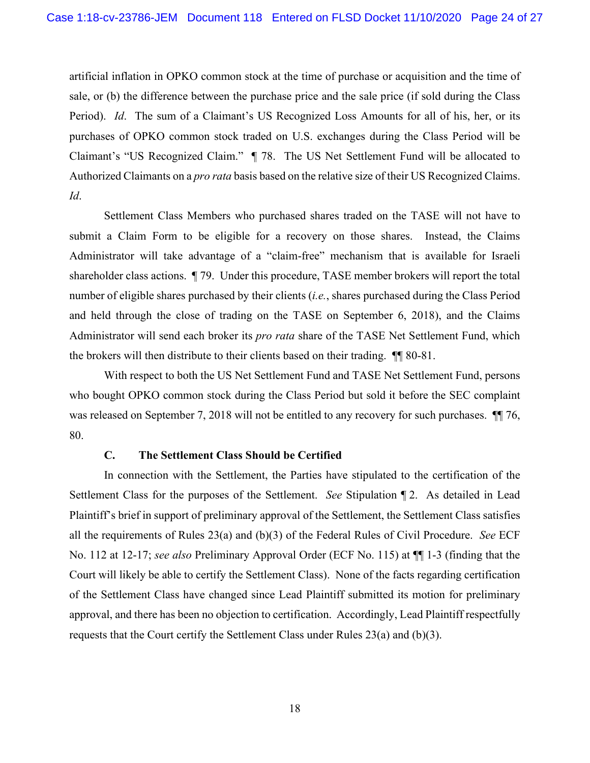artificial inflation in OPKO common stock at the time of purchase or acquisition and the time of sale, or (b) the difference between the purchase price and the sale price (if sold during the Class Period). *Id*. The sum of a Claimant's US Recognized Loss Amounts for all of his, her, or its purchases of OPKO common stock traded on U.S. exchanges during the Class Period will be Claimant's "US Recognized Claim." ¶ 78. The US Net Settlement Fund will be allocated to Authorized Claimants on a *pro rata* basis based on the relative size of their US Recognized Claims. *Id*.

Settlement Class Members who purchased shares traded on the TASE will not have to submit a Claim Form to be eligible for a recovery on those shares. Instead, the Claims Administrator will take advantage of a "claim-free" mechanism that is available for Israeli shareholder class actions. ¶ 79. Under this procedure, TASE member brokers will report the total number of eligible shares purchased by their clients (*i.e.*, shares purchased during the Class Period and held through the close of trading on the TASE on September 6, 2018), and the Claims Administrator will send each broker its *pro rata* share of the TASE Net Settlement Fund, which the brokers will then distribute to their clients based on their trading. ¶¶ 80-81.

With respect to both the US Net Settlement Fund and TASE Net Settlement Fund, persons who bought OPKO common stock during the Class Period but sold it before the SEC complaint was released on September 7, 2018 will not be entitled to any recovery for such purchases. ¶¶ 76, 80.

### **C. The Settlement Class Should be Certified**

In connection with the Settlement, the Parties have stipulated to the certification of the Settlement Class for the purposes of the Settlement. *See* Stipulation ¶ 2. As detailed in Lead Plaintiff's brief in support of preliminary approval of the Settlement, the Settlement Class satisfies all the requirements of Rules 23(a) and (b)(3) of the Federal Rules of Civil Procedure. *See* ECF No. 112 at 12-17; *see also* Preliminary Approval Order (ECF No. 115) at ¶¶ 1-3 (finding that the Court will likely be able to certify the Settlement Class). None of the facts regarding certification of the Settlement Class have changed since Lead Plaintiff submitted its motion for preliminary approval, and there has been no objection to certification. Accordingly, Lead Plaintiff respectfully requests that the Court certify the Settlement Class under Rules  $23(a)$  and  $(b)(3)$ .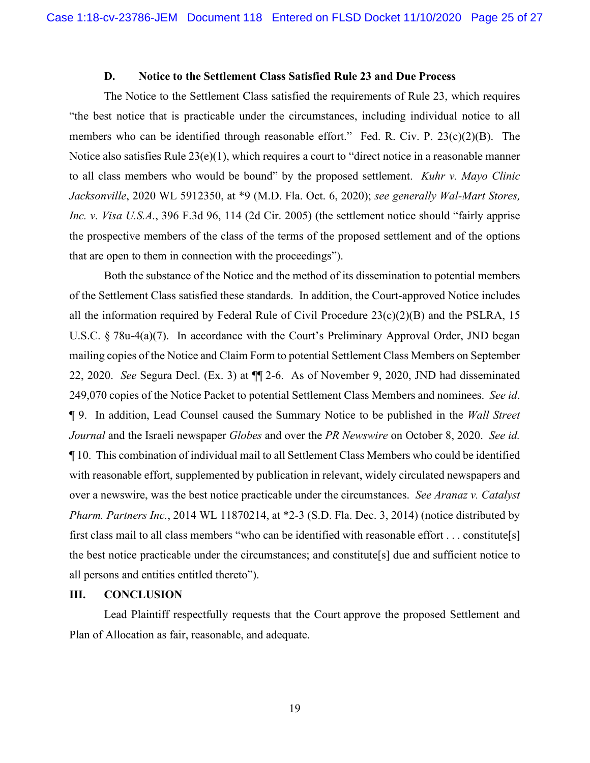#### **D. Notice to the Settlement Class Satisfied Rule 23 and Due Process**

The Notice to the Settlement Class satisfied the requirements of Rule 23, which requires "the best notice that is practicable under the circumstances, including individual notice to all members who can be identified through reasonable effort." Fed. R. Civ. P. 23(c)(2)(B). The Notice also satisfies Rule 23(e)(1), which requires a court to "direct notice in a reasonable manner to all class members who would be bound" by the proposed settlement. *Kuhr v. Mayo Clinic Jacksonville*, 2020 WL 5912350, at \*9 (M.D. Fla. Oct. 6, 2020); *see generally Wal-Mart Stores, Inc. v. Visa U.S.A.*, 396 F.3d 96, 114 (2d Cir. 2005) (the settlement notice should "fairly apprise the prospective members of the class of the terms of the proposed settlement and of the options that are open to them in connection with the proceedings").

Both the substance of the Notice and the method of its dissemination to potential members of the Settlement Class satisfied these standards. In addition, the Court-approved Notice includes all the information required by Federal Rule of Civil Procedure 23(c)(2)(B) and the PSLRA, 15 U.S.C. § 78u-4(a)(7). In accordance with the Court's Preliminary Approval Order, JND began mailing copies of the Notice and Claim Form to potential Settlement Class Members on September 22, 2020. *See* Segura Decl. (Ex. 3) at ¶¶ 2-6. As of November 9, 2020, JND had disseminated 249,070 copies of the Notice Packet to potential Settlement Class Members and nominees. *See id*. ¶ 9. In addition, Lead Counsel caused the Summary Notice to be published in the *Wall Street Journal* and the Israeli newspaper *Globes* and over the *PR Newswire* on October 8, 2020. *See id.* ¶ 10. This combination of individual mail to all Settlement Class Members who could be identified with reasonable effort, supplemented by publication in relevant, widely circulated newspapers and over a newswire, was the best notice practicable under the circumstances. *See Aranaz v. Catalyst Pharm. Partners Inc.*, 2014 WL 11870214, at \*2-3 (S.D. Fla. Dec. 3, 2014) (notice distributed by first class mail to all class members "who can be identified with reasonable effort . . . constitute[s] the best notice practicable under the circumstances; and constitute[s] due and sufficient notice to all persons and entities entitled thereto").

#### **III. CONCLUSION**

Lead Plaintiff respectfully requests that the Court approve the proposed Settlement and Plan of Allocation as fair, reasonable, and adequate.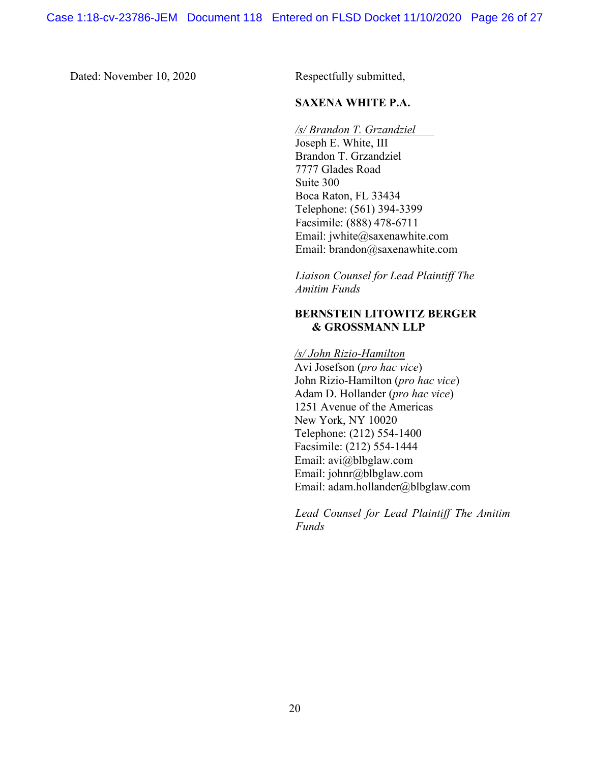Dated: November 10, 2020 Respectfully submitted,

## **SAXENA WHITE P.A.**

*/s/ Brandon T. Grzandziel* 

Joseph E. White, III Brandon T. Grzandziel 7777 Glades Road Suite 300 Boca Raton, FL 33434 Telephone: (561) 394-3399 Facsimile: (888) 478-6711 Email: jwhite@saxenawhite.com Email: brandon@saxenawhite.com

*Liaison Counsel for Lead Plaintiff The Amitim Funds*

# **BERNSTEIN LITOWITZ BERGER & GROSSMANN LLP**

*/s/ John Rizio-Hamilton*  Avi Josefson (*pro hac vice*) John Rizio-Hamilton (*pro hac vice*) Adam D. Hollander (*pro hac vice*) 1251 Avenue of the Americas New York, NY 10020 Telephone: (212) 554-1400 Facsimile: (212) 554-1444 Email: avi@blbglaw.com Email: johnr@blbglaw.com Email: adam.hollander@blbglaw.com

*Lead Counsel for Lead Plaintiff The Amitim Funds*